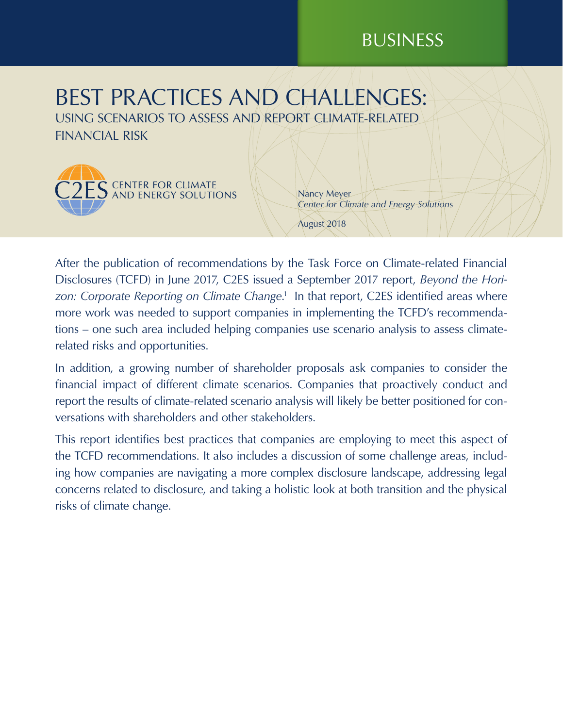# BUSINESS

# BEST PRACTICES AND CHALLENGES: USING SCENARIOS TO ASSESS AND REPORT CLIMATE-RELATED

 $\overline{\mathsf{S}}$  center for climate  $\overline{\mathsf{S}}$  and energy solutions

FINANCIAL RISK

Nancy Meyer *Center for Climate and Energy Solution*s

August 2018

After the publication of recommendations by the Task Force on Climate-related Financial Disclosures (TCFD) in June 2017, C2ES issued a September 2017 report, *Beyond the Hori*zon: Corporate Reporting on Climate Change.<sup>1</sup> In that report, C2ES identified areas where more work was needed to support companies in implementing the TCFD's recommendations – one such area included helping companies use scenario analysis to assess climaterelated risks and opportunities.

In addition, a growing number of shareholder proposals ask companies to consider the financial impact of different climate scenarios. Companies that proactively conduct and report the results of climate-related scenario analysis will likely be better positioned for conversations with shareholders and other stakeholders.

This report identifies best practices that companies are employing to meet this aspect of the TCFD recommendations. It also includes a discussion of some challenge areas, including how companies are navigating a more complex disclosure landscape, addressing legal concerns related to disclosure, and taking a holistic look at both transition and the physical risks of climate change.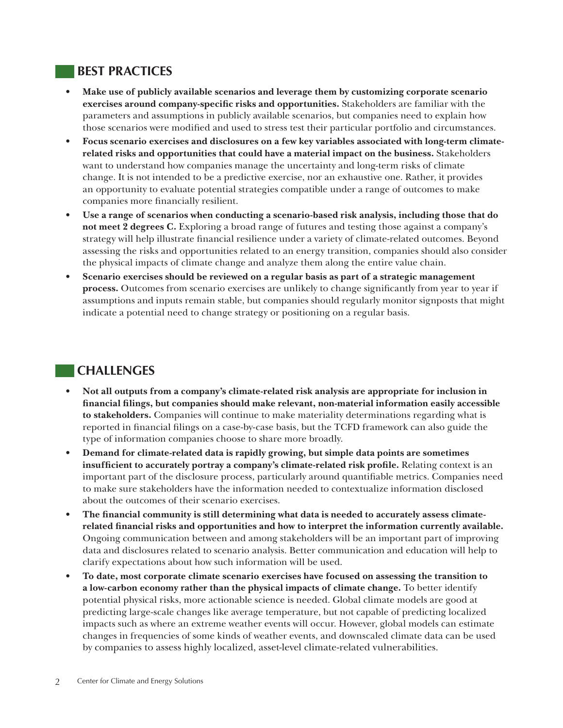## **BEST PRACTICES**

- **• Make use of publicly available scenarios and leverage them by customizing corporate scenario exercises around company-specific risks and opportunities.** Stakeholders are familiar with the parameters and assumptions in publicly available scenarios, but companies need to explain how those scenarios were modified and used to stress test their particular portfolio and circumstances.
- **• Focus scenario exercises and disclosures on a few key variables associated with long-term climaterelated risks and opportunities that could have a material impact on the business.** Stakeholders want to understand how companies manage the uncertainty and long-term risks of climate change. It is not intended to be a predictive exercise, nor an exhaustive one. Rather, it provides an opportunity to evaluate potential strategies compatible under a range of outcomes to make companies more financially resilient.
- **• Use a range of scenarios when conducting a scenario-based risk analysis, including those that do not meet 2 degrees C.** Exploring a broad range of futures and testing those against a company's strategy will help illustrate financial resilience under a variety of climate-related outcomes. Beyond assessing the risks and opportunities related to an energy transition, companies should also consider the physical impacts of climate change and analyze them along the entire value chain.
- **• Scenario exercises should be reviewed on a regular basis as part of a strategic management process.** Outcomes from scenario exercises are unlikely to change significantly from year to year if assumptions and inputs remain stable, but companies should regularly monitor signposts that might indicate a potential need to change strategy or positioning on a regular basis.

# **CHALLENGES**

- **• Not all outputs from a company's climate-related risk analysis are appropriate for inclusion in financial filings, but companies should make relevant, non-material information easily accessible to stakeholders.** Companies will continue to make materiality determinations regarding what is reported in financial filings on a case-by-case basis, but the TCFD framework can also guide the type of information companies choose to share more broadly.
- **• Demand for climate-related data is rapidly growing, but simple data points are sometimes insufficient to accurately portray a company's climate-related risk profile.** Relating context is an important part of the disclosure process, particularly around quantifiable metrics. Companies need to make sure stakeholders have the information needed to contextualize information disclosed about the outcomes of their scenario exercises.
- **• The financial community is still determining what data is needed to accurately assess climaterelated financial risks and opportunities and how to interpret the information currently available.** Ongoing communication between and among stakeholders will be an important part of improving data and disclosures related to scenario analysis. Better communication and education will help to clarify expectations about how such information will be used.
- **• To date, most corporate climate scenario exercises have focused on assessing the transition to a low-carbon economy rather than the physical impacts of climate change.** To better identify potential physical risks, more actionable science is needed. Global climate models are good at predicting large-scale changes like average temperature, but not capable of predicting localized impacts such as where an extreme weather events will occur. However, global models can estimate changes in frequencies of some kinds of weather events, and downscaled climate data can be used by companies to assess highly localized, asset-level climate-related vulnerabilities.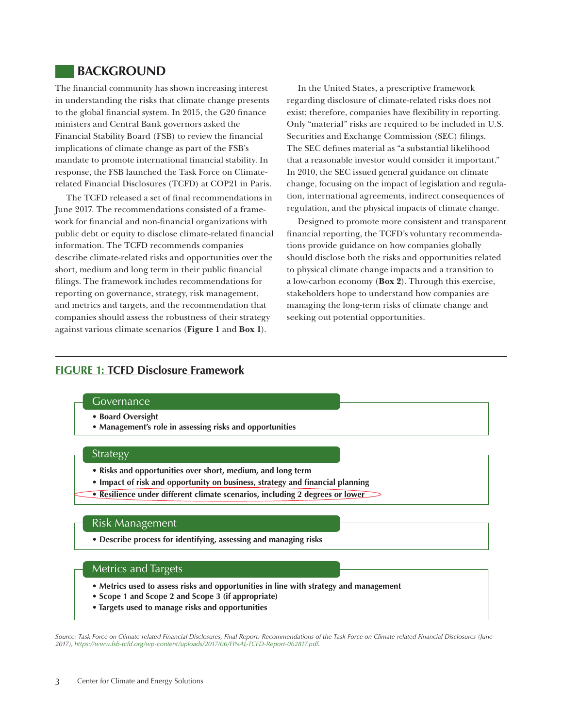## **BACKGROUND**

The financial community has shown increasing interest in understanding the risks that climate change presents to the global financial system. In 2015, the G20 finance ministers and Central Bank governors asked the Financial Stability Board (FSB) to review the financial implications of climate change as part of the FSB's mandate to promote international financial stability. In response, the FSB launched the Task Force on Climaterelated Financial Disclosures (TCFD) at COP21 in Paris.

The TCFD released a set of final recommendations in June 2017. The recommendations consisted of a framework for financial and non-financial organizations with public debt or equity to disclose climate-related financial information. The TCFD recommends companies describe climate-related risks and opportunities over the short, medium and long term in their public financial filings. The framework includes recommendations for reporting on governance, strategy, risk management, and metrics and targets, and the recommendation that companies should assess the robustness of their strategy against various climate scenarios (**Figure 1** and **Box 1**).

In the United States, a prescriptive framework regarding disclosure of climate-related risks does not exist; therefore, companies have flexibility in reporting. Only "material" risks are required to be included in U.S. Securities and Exchange Commission (SEC) filings. The SEC defines material as "a substantial likelihood that a reasonable investor would consider it important." In 2010, the SEC issued general guidance on climate change, focusing on the impact of legislation and regulation, international agreements, indirect consequences of regulation, and the physical impacts of climate change.

Designed to promote more consistent and transparent financial reporting, the TCFD's voluntary recommendations provide guidance on how companies globally should disclose both the risks and opportunities related to physical climate change impacts and a transition to a low-carbon economy (**Box 2**). Through this exercise, stakeholders hope to understand how companies are managing the long-term risks of climate change and seeking out potential opportunities.

## **FIGURE 1: TCFD Disclosure Framework**

#### **Governance**

- **Board Oversight**
- **Management's role in assessing risks and opportunities**

#### Strategy

- **Risks and opportunities over short, medium, and long term**
- Impact of risk and opportunity on business, strategy and financial planning
- **Resilience under different climate scenarios, including 2 degrees or lower**

#### Risk Management

**• Describe process for identifying, assessing and managing risks**

#### Metrics and Targets

- **Metrics used to assess risks and opportunities in line with strategy and management**
- **Scope 1 and Scope 2 and Scope 3 (if appropriate)**
- **Targets used to manage risks and opportunities**

*Source: Task Force on Climate-related Financial Disclosures, Final Report: Recommendations of the Task Force on Climate-related Financial Disclosures (June 2017),<https://www.fsb-tcfd.org/wp-content/uploads/2017/06/FINAL-TCFD-Report-062817.pdf>.*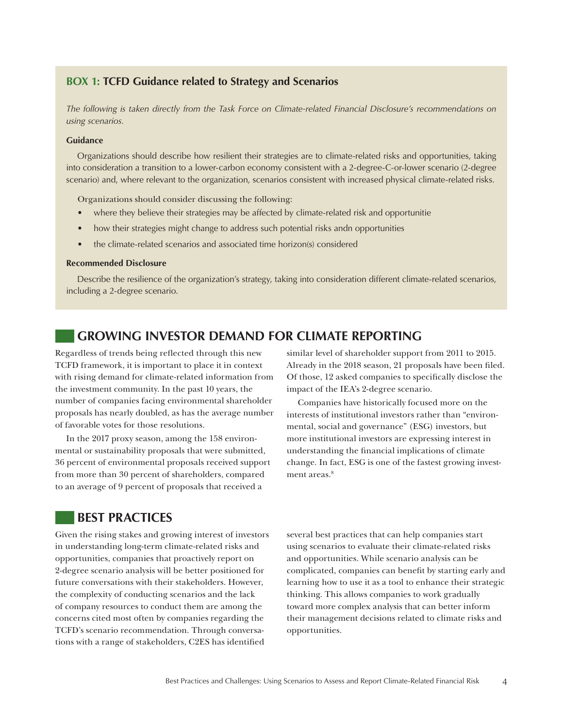### **BOX 1: TCFD Guidance related to Strategy and Scenarios**

*The following is taken directly from the Task Force on Climate-related Financial Disclosure's recommendations on using scenarios.*

#### **Guidance**

Organizations should describe how resilient their strategies are to climate-related risks and opportunities, taking into consideration a transition to a lower-carbon economy consistent with a 2-degree-C-or-lower scenario (2-degree scenario) and, where relevant to the organization, scenarios consistent with increased physical climate-related risks.

Organizations should consider discussing the following:

- where they believe their strategies may be affected by climate-related risk and opportunitie
- how their strategies might change to address such potential risks andn opportunities
- the climate-related scenarios and associated time horizon(s) considered

#### **Recommended Disclosure**

Describe the resilience of the organization's strategy, taking into consideration different climate-related scenarios, including a 2-degree scenario.

## **GROWING INVESTOR DEMAND FOR CLIMATE REPORTING**

Regardless of trends being reflected through this new TCFD framework, it is important to place it in context with rising demand for climate-related information from the investment community. In the past 10 years, the number of companies facing environmental shareholder proposals has nearly doubled, as has the average number of favorable votes for those resolutions.

In the 2017 proxy season, among the 158 environmental or sustainability proposals that were submitted, 36 percent of environmental proposals received support from more than 30 percent of shareholders, compared to an average of 9 percent of proposals that received a

## **BEST PRACTICES**

Given the rising stakes and growing interest of investors in understanding long-term climate-related risks and opportunities, companies that proactively report on 2-degree scenario analysis will be better positioned for future conversations with their stakeholders. However, the complexity of conducting scenarios and the lack of company resources to conduct them are among the concerns cited most often by companies regarding the TCFD's scenario recommendation. Through conversations with a range of stakeholders, C2ES has identified

similar level of shareholder support from 2011 to 2015. Already in the 2018 season, 21 proposals have been filed. Of those, 12 asked companies to specifically disclose the impact of the IEA's 2-degree scenario.

Companies have historically focused more on the interests of institutional investors rather than "environmental, social and governance" (ESG) investors, but more institutional investors are expressing interest in understanding the financial implications of climate change. In fact, ESG is one of the fastest growing investment areas $8$ 

several best practices that can help companies start using scenarios to evaluate their climate-related risks and opportunities. While scenario analysis can be complicated, companies can benefit by starting early and learning how to use it as a tool to enhance their strategic thinking. This allows companies to work gradually toward more complex analysis that can better inform their management decisions related to climate risks and opportunities.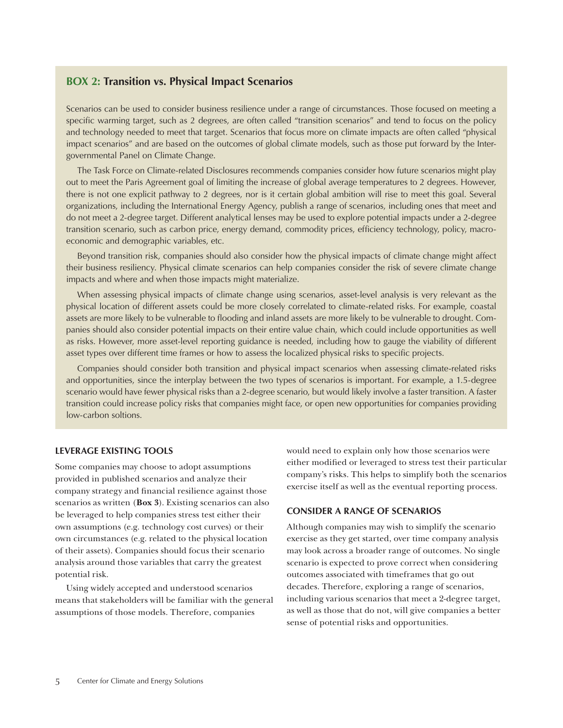### **BOX 2: Transition vs. Physical Impact Scenarios**

Scenarios can be used to consider business resilience under a range of circumstances. Those focused on meeting a specific warming target, such as 2 degrees, are often called "transition scenarios" and tend to focus on the policy and technology needed to meet that target. Scenarios that focus more on climate impacts are often called "physical impact scenarios" and are based on the outcomes of global climate models, such as those put forward by the Intergovernmental Panel on Climate Change.

The Task Force on Climate-related Disclosures recommends companies consider how future scenarios might play out to meet the Paris Agreement goal of limiting the increase of global average temperatures to 2 degrees. However, there is not one explicit pathway to 2 degrees, nor is it certain global ambition will rise to meet this goal. Several organizations, including the International Energy Agency, publish a range of scenarios, including ones that meet and do not meet a 2-degree target. Different analytical lenses may be used to explore potential impacts under a 2-degree transition scenario, such as carbon price, energy demand, commodity prices, efficiency technology, policy, macroeconomic and demographic variables, etc.

Beyond transition risk, companies should also consider how the physical impacts of climate change might affect their business resiliency. Physical climate scenarios can help companies consider the risk of severe climate change impacts and where and when those impacts might materialize.

When assessing physical impacts of climate change using scenarios, asset-level analysis is very relevant as the physical location of different assets could be more closely correlated to climate-related risks. For example, coastal assets are more likely to be vulnerable to flooding and inland assets are more likely to be vulnerable to drought. Companies should also consider potential impacts on their entire value chain, which could include opportunities as well as risks. However, more asset-level reporting guidance is needed, including how to gauge the viability of different asset types over different time frames or how to assess the localized physical risks to specific projects.

Companies should consider both transition and physical impact scenarios when assessing climate-related risks and opportunities, since the interplay between the two types of scenarios is important. For example, a 1.5-degree scenario would have fewer physical risks than a 2-degree scenario, but would likely involve a faster transition. A faster transition could increase policy risks that companies might face, or open new opportunities for companies providing low-carbon soltions.

#### **LEVERAGE EXISTING TOOLS**

Some companies may choose to adopt assumptions provided in published scenarios and analyze their company strategy and financial resilience against those scenarios as written (**Box 3**). Existing scenarios can also be leveraged to help companies stress test either their own assumptions (e.g. technology cost curves) or their own circumstances (e.g. related to the physical location of their assets). Companies should focus their scenario analysis around those variables that carry the greatest potential risk.

Using widely accepted and understood scenarios means that stakeholders will be familiar with the general assumptions of those models. Therefore, companies

would need to explain only how those scenarios were either modified or leveraged to stress test their particular company's risks. This helps to simplify both the scenarios exercise itself as well as the eventual reporting process.

#### **CONSIDER A RANGE OF SCENARIOS**

Although companies may wish to simplify the scenario exercise as they get started, over time company analysis may look across a broader range of outcomes. No single scenario is expected to prove correct when considering outcomes associated with timeframes that go out decades. Therefore, exploring a range of scenarios, including various scenarios that meet a 2-degree target, as well as those that do not, will give companies a better sense of potential risks and opportunities.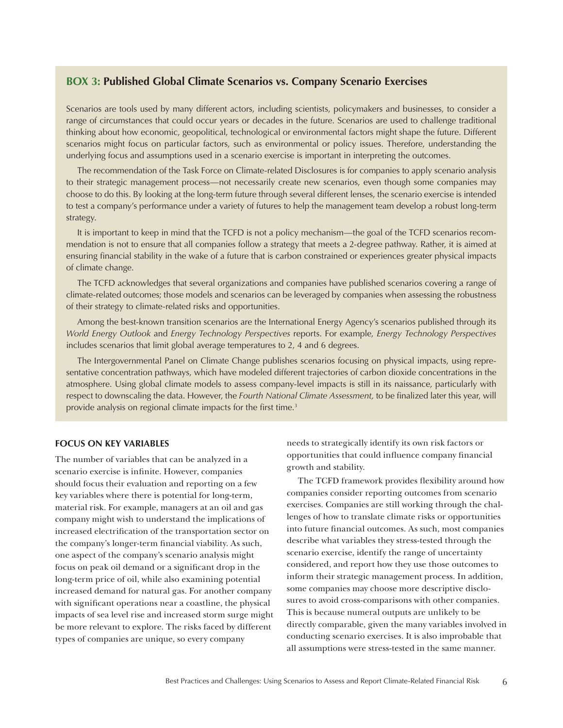### **BOX 3: Published Global Climate Scenarios vs. Company Scenario Exercises**

Scenarios are tools used by many different actors, including scientists, policymakers and businesses, to consider a range of circumstances that could occur years or decades in the future. Scenarios are used to challenge traditional thinking about how economic, geopolitical, technological or environmental factors might shape the future. Different scenarios might focus on particular factors, such as environmental or policy issues. Therefore, understanding the underlying focus and assumptions used in a scenario exercise is important in interpreting the outcomes.

The recommendation of the Task Force on Climate-related Disclosures is for companies to apply scenario analysis to their strategic management process—not necessarily create new scenarios, even though some companies may choose to do this. By looking at the long-term future through several different lenses, the scenario exercise is intended to test a company's performance under a variety of futures to help the management team develop a robust long-term strategy.

It is important to keep in mind that the TCFD is not a policy mechanism—the goal of the TCFD scenarios recommendation is not to ensure that all companies follow a strategy that meets a 2-degree pathway. Rather, it is aimed at ensuring financial stability in the wake of a future that is carbon constrained or experiences greater physical impacts of climate change.

The TCFD acknowledges that several organizations and companies have published scenarios covering a range of climate-related outcomes; those models and scenarios can be leveraged by companies when assessing the robustness of their strategy to climate-related risks and opportunities.

Among the best-known transition scenarios are the International Energy Agency's scenarios published through its *World Energy Outlook* and *Energy Technology Perspectives* reports. For example, *Energy Technology Perspectives*  includes scenarios that limit global average temperatures to 2, 4 and 6 degrees.

The Intergovernmental Panel on Climate Change publishes scenarios focusing on physical impacts, using representative concentration pathways, which have modeled different trajectories of carbon dioxide concentrations in the atmosphere. Using global climate models to assess company-level impacts is still in its naissance, particularly with respect to downscaling the data. However, the *Fourth National Climate Assessment,* to be finalized later this year, will provide analysis on regional climate impacts for the first time.<sup>3</sup>

#### **FOCUS ON KEY VARIABLES**

The number of variables that can be analyzed in a scenario exercise is infinite. However, companies should focus their evaluation and reporting on a few key variables where there is potential for long-term, material risk. For example, managers at an oil and gas company might wish to understand the implications of increased electrification of the transportation sector on the company's longer-term financial viability. As such, one aspect of the company's scenario analysis might focus on peak oil demand or a significant drop in the long-term price of oil, while also examining potential increased demand for natural gas. For another company with significant operations near a coastline, the physical impacts of sea level rise and increased storm surge might be more relevant to explore. The risks faced by different types of companies are unique, so every company

needs to strategically identify its own risk factors or opportunities that could influence company financial growth and stability.

The TCFD framework provides flexibility around how companies consider reporting outcomes from scenario exercises. Companies are still working through the challenges of how to translate climate risks or opportunities into future financial outcomes. As such, most companies describe what variables they stress-tested through the scenario exercise, identify the range of uncertainty considered, and report how they use those outcomes to inform their strategic management process. In addition, some companies may choose more descriptive disclosures to avoid cross-comparisons with other companies. This is because numeral outputs are unlikely to be directly comparable, given the many variables involved in conducting scenario exercises. It is also improbable that all assumptions were stress-tested in the same manner.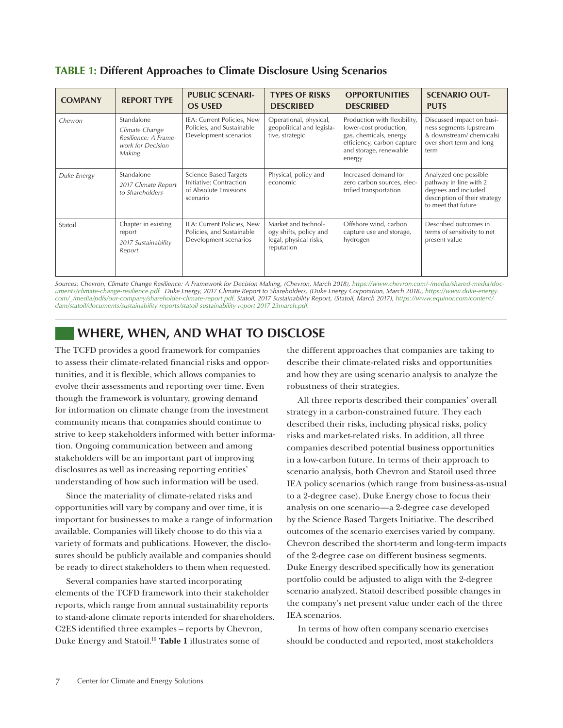|  |  | <b>TABLE 1: Different Approaches to Climate Disclosure Using Scenarios</b> |  |  |  |  |
|--|--|----------------------------------------------------------------------------|--|--|--|--|
|--|--|----------------------------------------------------------------------------|--|--|--|--|

| <b>COMPANY</b> | <b>REPORT TYPE</b>                                                                  | <b>PUBLIC SCENARI-</b><br><b>OS USED</b>                                                     | <b>TYPES OF RISKS</b><br><b>DESCRIBED</b>                                             | <b>OPPORTUNITIES</b><br><b>DESCRIBED</b>                                                                                                           | <b>SCENARIO OUT-</b><br><b>PUTS</b>                                                                                             |
|----------------|-------------------------------------------------------------------------------------|----------------------------------------------------------------------------------------------|---------------------------------------------------------------------------------------|----------------------------------------------------------------------------------------------------------------------------------------------------|---------------------------------------------------------------------------------------------------------------------------------|
| Chevron        | Standalone<br>Climate Change<br>Resilience: A Frame-<br>work for Decision<br>Making | IEA: Current Policies, New<br>Policies, and Sustainable<br>Development scenarios             | Operational, physical,<br>geopolitical and legisla-<br>tive, strategic                | Production with flexibility,<br>lower-cost production,<br>gas, chemicals, energy<br>efficiency, carbon capture<br>and storage, renewable<br>energy | Discussed impact on busi-<br>ness segments (upstream<br>& downstream/chemicals)<br>over short term and long<br>term             |
| Duke Energy    | Standalone<br>2017 Climate Report<br>to Shareholders                                | <b>Science Based Targets</b><br>Initiative: Contraction<br>of Absolute Emissions<br>scenario | Physical, policy and<br>economic                                                      | Increased demand for<br>zero carbon sources, elec-<br>trified transportation                                                                       | Analyzed one possible<br>pathway in line with 2<br>degrees and included<br>description of their strategy<br>to meet that future |
| Statoil        | Chapter in existing<br>report<br>2017 Sustainability<br>Report                      | IEA: Current Policies, New<br>Policies, and Sustainable<br>Development scenarios             | Market and technol-<br>ogy shifts, policy and<br>legal, physical risks,<br>reputation | Offshore wind, carbon<br>capture use and storage,<br>hydrogen                                                                                      | Described outcomes in<br>terms of sensitivity to net<br>present value                                                           |

*Sources: Chevron, Climate Change Resilience: A Framework for Decision Making, (Chevron, March 2018), [https://www.chevron.com/-/media/shared-media/doc](https://www.chevron.com/-/media/shared-media/documents/climate-change-resilience.pdf)[uments/climate-change-resilience.pdf](https://www.chevron.com/-/media/shared-media/documents/climate-change-resilience.pdf). Duke Energy, 2017 Climate Report to Shareholders, (Duke Energy Corporation, March 2018), [https://www.duke-energy.](https://www.duke-energy.com/_/media/pdfs/our-company/shareholder-climate-report.pdf) [com/\\_/media/pdfs/our-company/shareholder-climate-report.pdf.](https://www.duke-energy.com/_/media/pdfs/our-company/shareholder-climate-report.pdf) Statoil, 2017 Sustainability Report, (Statoil, March 2017), [https://www.equinor.com/content/](https://www.equinor.com/content/dam/statoil/documents/sustainability-reports/statoil-sustainability-report-2017-23march.pdf) [dam/statoil/documents/sustainability-reports/statoil-sustainability-report-2017-23march.pdf](https://www.equinor.com/content/dam/statoil/documents/sustainability-reports/statoil-sustainability-report-2017-23march.pdf).*

# **WHERE, WHEN, AND WHAT TO DISCLOSE**

The TCFD provides a good framework for companies to assess their climate-related financial risks and opportunities, and it is flexible, which allows companies to evolve their assessments and reporting over time. Even though the framework is voluntary, growing demand for information on climate change from the investment community means that companies should continue to strive to keep stakeholders informed with better information. Ongoing communication between and among stakeholders will be an important part of improving disclosures as well as increasing reporting entities' understanding of how such information will be used.

Since the materiality of climate-related risks and opportunities will vary by company and over time, it is important for businesses to make a range of information available. Companies will likely choose to do this via a variety of formats and publications. However, the disclosures should be publicly available and companies should be ready to direct stakeholders to them when requested.

Several companies have started incorporating elements of the TCFD framework into their stakeholder reports, which range from annual sustainability reports to stand-alone climate reports intended for shareholders. C2ES identified three examples – reports by Chevron, Duke Energy and Statoil.10 **Table 1** illustrates some of

the different approaches that companies are taking to describe their climate-related risks and opportunities and how they are using scenario analysis to analyze the robustness of their strategies.

All three reports described their companies' overall strategy in a carbon-constrained future. They each described their risks, including physical risks, policy risks and market-related risks. In addition, all three companies described potential business opportunities in a low-carbon future. In terms of their approach to scenario analysis, both Chevron and Statoil used three IEA policy scenarios (which range from business-as-usual to a 2-degree case). Duke Energy chose to focus their analysis on one scenario—a 2-degree case developed by the Science Based Targets Initiative. The described outcomes of the scenario exercises varied by company. Chevron described the short-term and long-term impacts of the 2-degree case on different business segments. Duke Energy described specifically how its generation portfolio could be adjusted to align with the 2-degree scenario analyzed. Statoil described possible changes in the company's net present value under each of the three IEA scenarios.

In terms of how often company scenario exercises should be conducted and reported, most stakeholders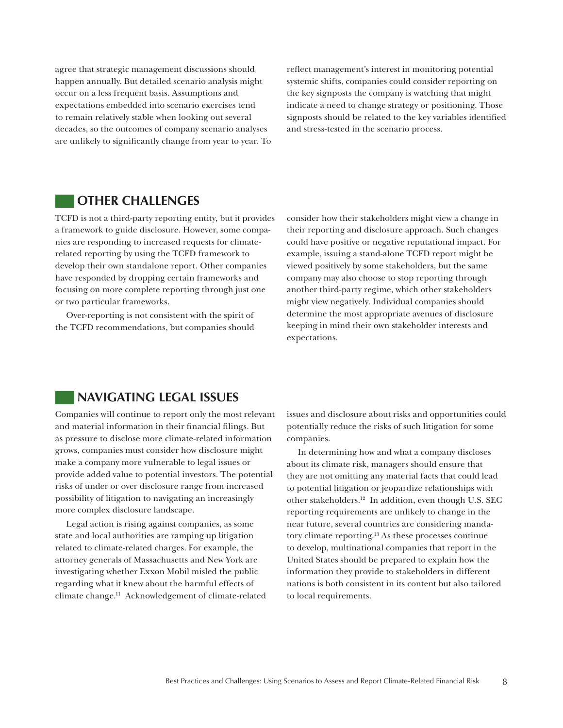agree that strategic management discussions should happen annually. But detailed scenario analysis might occur on a less frequent basis. Assumptions and expectations embedded into scenario exercises tend to remain relatively stable when looking out several decades, so the outcomes of company scenario analyses are unlikely to significantly change from year to year. To reflect management's interest in monitoring potential systemic shifts, companies could consider reporting on the key signposts the company is watching that might indicate a need to change strategy or positioning. Those signposts should be related to the key variables identified and stress-tested in the scenario process.

## **OTHER CHALLENGES**

TCFD is not a third-party reporting entity, but it provides a framework to guide disclosure. However, some companies are responding to increased requests for climaterelated reporting by using the TCFD framework to develop their own standalone report. Other companies have responded by dropping certain frameworks and focusing on more complete reporting through just one or two particular frameworks.

Over-reporting is not consistent with the spirit of the TCFD recommendations, but companies should consider how their stakeholders might view a change in their reporting and disclosure approach. Such changes could have positive or negative reputational impact. For example, issuing a stand-alone TCFD report might be viewed positively by some stakeholders, but the same company may also choose to stop reporting through another third-party regime, which other stakeholders might view negatively. Individual companies should determine the most appropriate avenues of disclosure keeping in mind their own stakeholder interests and expectations.

## **NAVIGATING LEGAL ISSUES**

Companies will continue to report only the most relevant and material information in their financial filings. But as pressure to disclose more climate-related information grows, companies must consider how disclosure might make a company more vulnerable to legal issues or provide added value to potential investors. The potential risks of under or over disclosure range from increased possibility of litigation to navigating an increasingly more complex disclosure landscape.

Legal action is rising against companies, as some state and local authorities are ramping up litigation related to climate-related charges. For example, the attorney generals of Massachusetts and New York are investigating whether Exxon Mobil misled the public regarding what it knew about the harmful effects of climate change.11 Acknowledgement of climate-related issues and disclosure about risks and opportunities could potentially reduce the risks of such litigation for some companies.

In determining how and what a company discloses about its climate risk, managers should ensure that they are not omitting any material facts that could lead to potential litigation or jeopardize relationships with other stakeholders.12 In addition, even though U.S. SEC reporting requirements are unlikely to change in the near future, several countries are considering mandatory climate reporting.13 As these processes continue to develop, multinational companies that report in the United States should be prepared to explain how the information they provide to stakeholders in different nations is both consistent in its content but also tailored to local requirements.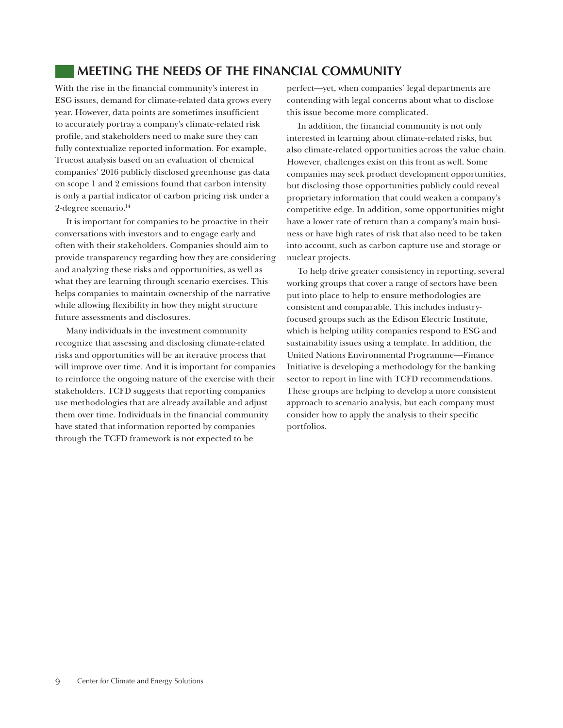# **MEETING THE NEEDS OF THE FINANCIAL COMMUNITY**

With the rise in the financial community's interest in ESG issues, demand for climate-related data grows every year. However, data points are sometimes insufficient to accurately portray a company's climate-related risk profile, and stakeholders need to make sure they can fully contextualize reported information. For example, Trucost analysis based on an evaluation of chemical companies' 2016 publicly disclosed greenhouse gas data on scope 1 and 2 emissions found that carbon intensity is only a partial indicator of carbon pricing risk under a 2-degree scenario.<sup>14</sup>

It is important for companies to be proactive in their conversations with investors and to engage early and often with their stakeholders. Companies should aim to provide transparency regarding how they are considering and analyzing these risks and opportunities, as well as what they are learning through scenario exercises. This helps companies to maintain ownership of the narrative while allowing flexibility in how they might structure future assessments and disclosures.

Many individuals in the investment community recognize that assessing and disclosing climate-related risks and opportunities will be an iterative process that will improve over time. And it is important for companies to reinforce the ongoing nature of the exercise with their stakeholders. TCFD suggests that reporting companies use methodologies that are already available and adjust them over time. Individuals in the financial community have stated that information reported by companies through the TCFD framework is not expected to be

perfect—yet, when companies' legal departments are contending with legal concerns about what to disclose this issue become more complicated.

In addition, the financial community is not only interested in learning about climate-related risks, but also climate-related opportunities across the value chain. However, challenges exist on this front as well. Some companies may seek product development opportunities, but disclosing those opportunities publicly could reveal proprietary information that could weaken a company's competitive edge. In addition, some opportunities might have a lower rate of return than a company's main business or have high rates of risk that also need to be taken into account, such as carbon capture use and storage or nuclear projects.

To help drive greater consistency in reporting, several working groups that cover a range of sectors have been put into place to help to ensure methodologies are consistent and comparable. This includes industryfocused groups such as the Edison Electric Institute, which is helping utility companies respond to ESG and sustainability issues using a template. In addition, the United Nations Environmental Programme—Finance Initiative is developing a methodology for the banking sector to report in line with TCFD recommendations. These groups are helping to develop a more consistent approach to scenario analysis, but each company must consider how to apply the analysis to their specific portfolios.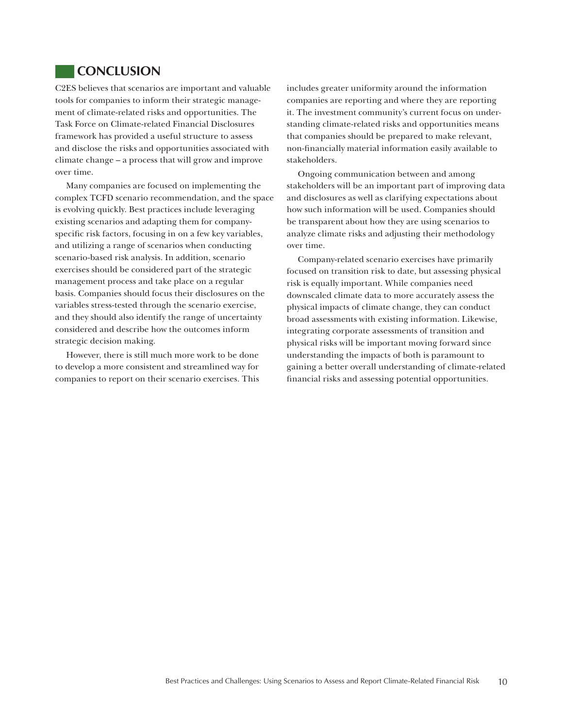## **CONCLUSION**

C2ES believes that scenarios are important and valuable tools for companies to inform their strategic management of climate-related risks and opportunities. The Task Force on Climate-related Financial Disclosures framework has provided a useful structure to assess and disclose the risks and opportunities associated with climate change – a process that will grow and improve over time.

Many companies are focused on implementing the complex TCFD scenario recommendation, and the space is evolving quickly. Best practices include leveraging existing scenarios and adapting them for companyspecific risk factors, focusing in on a few key variables, and utilizing a range of scenarios when conducting scenario-based risk analysis. In addition, scenario exercises should be considered part of the strategic management process and take place on a regular basis. Companies should focus their disclosures on the variables stress-tested through the scenario exercise, and they should also identify the range of uncertainty considered and describe how the outcomes inform strategic decision making.

However, there is still much more work to be done to develop a more consistent and streamlined way for companies to report on their scenario exercises. This

includes greater uniformity around the information companies are reporting and where they are reporting it. The investment community's current focus on understanding climate-related risks and opportunities means that companies should be prepared to make relevant, non-financially material information easily available to stakeholders.

Ongoing communication between and among stakeholders will be an important part of improving data and disclosures as well as clarifying expectations about how such information will be used. Companies should be transparent about how they are using scenarios to analyze climate risks and adjusting their methodology over time.

Company-related scenario exercises have primarily focused on transition risk to date, but assessing physical risk is equally important. While companies need downscaled climate data to more accurately assess the physical impacts of climate change, they can conduct broad assessments with existing information. Likewise, integrating corporate assessments of transition and physical risks will be important moving forward since understanding the impacts of both is paramount to gaining a better overall understanding of climate-related financial risks and assessing potential opportunities.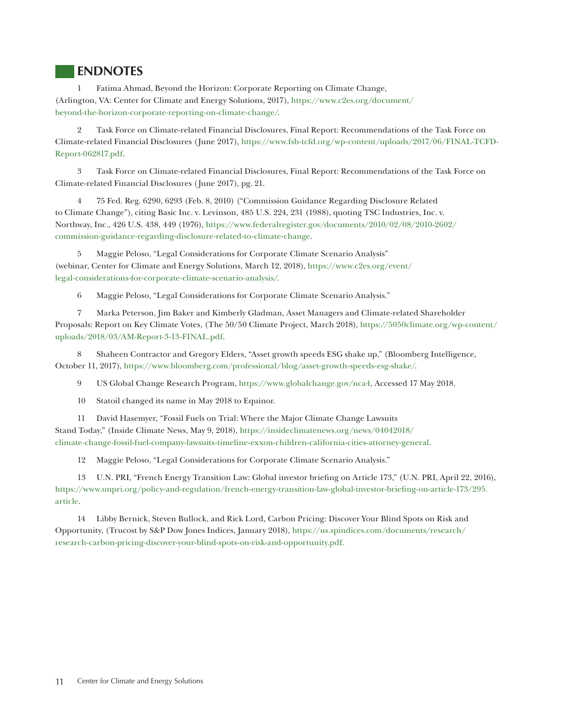## **ENDNOTES**

1 Fatima Ahmad, Beyond the Horizon: Corporate Reporting on Climate Change, (Arlington, VA: Center for Climate and Energy Solutions, 2017), [https://www.c2es.org/document/](https://www.c2es.org/document/beyond-the-horizon-corporate-reporting-on-climate-change/) [beyond-the-horizon-corporate-reporting-on-climate-change/](https://www.c2es.org/document/beyond-the-horizon-corporate-reporting-on-climate-change/).

2 Task Force on Climate-related Financial Disclosures, Final Report: Recommendations of the Task Force on Climate-related Financial Disclosures (June 2017), [https://www.fsb-tcfd.org/wp-content/uploads/2017/06/FINAL-TCFD-](https://www.fsb-tcfd.org/wp-content/uploads/2017/06/FINAL-TCFD-Report-062817.pdf)[Report-062817.pdf.](https://www.fsb-tcfd.org/wp-content/uploads/2017/06/FINAL-TCFD-Report-062817.pdf)

3 Task Force on Climate-related Financial Disclosures, Final Report: Recommendations of the Task Force on Climate-related Financial Disclosures (June 2017), pg. 21.

4 75 Fed. Reg. 6290, 6293 (Feb. 8, 2010) ("Commission Guidance Regarding Disclosure Related to Climate Change"), citing Basic Inc. v. Levinson, 485 U.S. 224, 231 (1988), quoting TSC Industries, Inc. v. Northway, Inc., 426 U.S. 438, 449 (1976), [https://www.federalregister.gov/documents/2010/02/08/2010-2602/]( https://www.federalregister.gov/documents/2010/02/08/2010-2602/commission-guidance-regarding-disclosure-related-to-climate-change) [commission-guidance-regarding-disclosure-related-to-climate-change]( https://www.federalregister.gov/documents/2010/02/08/2010-2602/commission-guidance-regarding-disclosure-related-to-climate-change).

5 Maggie Peloso, "Legal Considerations for Corporate Climate Scenario Analysis" (webinar, Center for Climate and Energy Solutions, March 12, 2018), [https://www.c2es.org/event/](https://www.c2es.org/event/legal-considerations-for-corporate-climate-scenario-analysis/) [legal-considerations-for-corporate-climate-scenario-analysis/](https://www.c2es.org/event/legal-considerations-for-corporate-climate-scenario-analysis/).

6 Maggie Peloso, "Legal Considerations for Corporate Climate Scenario Analysis."

7 Marka Peterson, Jim Baker and Kimberly Gladman, Asset Managers and Climate-related Shareholder Proposals: Report on Key Climate Votes, (The 50/50 Climate Project, March 2018), [https://5050climate.org/wp-content/](https://5050climate.org/wp-content/uploads/2018/03/AM-Report-3-13-FINAL.pdf) [uploads/2018/03/AM-Report-3-13-FINAL.pdf](https://5050climate.org/wp-content/uploads/2018/03/AM-Report-3-13-FINAL.pdf).

8 Shaheen Contractor and Gregory Elders, "Asset growth speeds ESG shake up," (Bloomberg Intelligence, October 11, 2017), <https://www.bloomberg.com/professional/blog/asset-growth-speeds-esg-shake/>.

9 US Global Change Research Program, <https://www.globalchange.gov/nca4, Accessed 17 May 2018>.

10 Statoil changed its name in May 2018 to Equinor.

11 David Hasemyer, "Fossil Fuels on Trial: Where the Major Climate Change Lawsuits Stand Today," (Inside Climate News, May 9, 2018), [https://insideclimatenews.org/news/04042018/](https://insideclimatenews.org/news/04042018/climate-change-fossil-fuel-company-lawsuits-timeline-exxon-children-california-cities-attorney-general) [climate-change-fossil-fuel-company-lawsuits-timeline-exxon-children-california-cities-attorney-general.](https://insideclimatenews.org/news/04042018/climate-change-fossil-fuel-company-lawsuits-timeline-exxon-children-california-cities-attorney-general)

12 Maggie Peloso, "Legal Considerations for Corporate Climate Scenario Analysis."

13 U.N. PRI, "French Energy Transition Law: Global investor briefing on Article 173," (U.N. PRI, April 22, 2016), [https://www.unpri.org/policy-and-regulation/french-energy-transition-law-global-investor-briefing-on-article-173/295.](https://www.unpri.org/policy-and-regulation/french-energy-transition-law-global-investor-briefing-on-article-173/295.article) [article](https://www.unpri.org/policy-and-regulation/french-energy-transition-law-global-investor-briefing-on-article-173/295.article).

14 Libby Bernick, Steven Bullock, and Rick Lord, Carbon Pricing: Discover Your Blind Spots on Risk and Opportunity, (Trucost by S&P Dow Jones Indices, January 2018), [https://us.spindices.com/documents/research/](https://us.spindices.com/documents/research/research-carbon-pricing-discover-your-blind-spots-on-risk-and-opportunity.pdf) [research-carbon-pricing-discover-your-blind-spots-on-risk-and-opportunity.pdf](https://us.spindices.com/documents/research/research-carbon-pricing-discover-your-blind-spots-on-risk-and-opportunity.pdf).